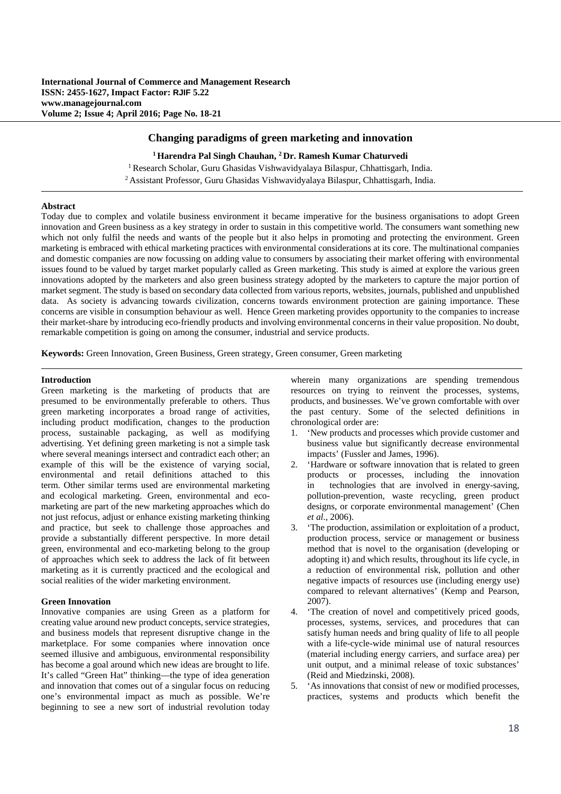# **Changing paradigms of green marketing and innovation**

**1 Harendra Pal Singh Chauhan, 2 Dr. Ramesh Kumar Chaturvedi** <sup>1</sup> Research Scholar, Guru Ghasidas Vishwavidyalaya Bilaspur, Chhattisgarh, India. 2 Assistant Professor, Guru Ghasidas Vishwavidyalaya Bilaspur, Chhattisgarh, India.

## **Abstract**

Today due to complex and volatile business environment it became imperative for the business organisations to adopt Green innovation and Green business as a key strategy in order to sustain in this competitive world. The consumers want something new which not only fulfil the needs and wants of the people but it also helps in promoting and protecting the environment. Green marketing is embraced with ethical marketing practices with environmental considerations at its core. The multinational companies and domestic companies are now focussing on adding value to consumers by associating their market offering with environmental issues found to be valued by target market popularly called as Green marketing. This study is aimed at explore the various green innovations adopted by the marketers and also green business strategy adopted by the marketers to capture the major portion of market segment. The study is based on secondary data collected from various reports, websites, journals, published and unpublished data. As society is advancing towards civilization, concerns towards environment protection are gaining importance. These concerns are visible in consumption behaviour as well. Hence Green marketing provides opportunity to the companies to increase their market-share by introducing eco-friendly products and involving environmental concerns in their value proposition. No doubt, remarkable competition is going on among the consumer, industrial and service products.

**Keywords:** Green Innovation, Green Business, Green strategy, Green consumer, Green marketing

## **Introduction**

Green marketing is the marketing of products that are presumed to be environmentally preferable to others. Thus green marketing incorporates a broad range of activities, including product modification, changes to the production process, sustainable packaging, as well as modifying advertising. Yet defining green marketing is not a simple task where several meanings intersect and contradict each other; an example of this will be the existence of varying social, environmental and retail definitions attached to this term. Other similar terms used are environmental marketing and ecological marketing. Green, environmental and ecomarketing are part of the new marketing approaches which do not just refocus, adjust or enhance existing marketing thinking and practice, but seek to challenge those approaches and provide a substantially different perspective. In more detail green, environmental and eco-marketing belong to the group of approaches which seek to address the lack of fit between marketing as it is currently practiced and the ecological and social realities of the wider marketing environment.

### **Green Innovation**

Innovative companies are using Green as a platform for creating value around new product concepts, service strategies, and business models that represent disruptive change in the marketplace. For some companies where innovation once seemed illusive and ambiguous, environmental responsibility has become a goal around which new ideas are brought to life. It's called "Green Hat" thinking—the type of idea generation and innovation that comes out of a singular focus on reducing one's environmental impact as much as possible. We're beginning to see a new sort of industrial revolution today

wherein many organizations are spending tremendous resources on trying to reinvent the processes, systems, products, and businesses. We've grown comfortable with over the past century. Some of the selected definitions in chronological order are:

- 1. 'New products and processes which provide customer and business value but significantly decrease environmental impacts' (Fussler and James, 1996).
- 2. 'Hardware or software innovation that is related to green products or processes, including the innovation in technologies that are involved in energy-saving, pollution-prevention, waste recycling, green product designs, or corporate environmental management' (Chen *et al*., 2006).
- 3. 'The production, assimilation or exploitation of a product, production process, service or management or business method that is novel to the organisation (developing or adopting it) and which results, throughout its life cycle, in a reduction of environmental risk, pollution and other negative impacts of resources use (including energy use) compared to relevant alternatives' (Kemp and Pearson, 2007).
- 4. 'The creation of novel and competitively priced goods, processes, systems, services, and procedures that can satisfy human needs and bring quality of life to all people with a life-cycle-wide minimal use of natural resources (material including energy carriers, and surface area) per unit output, and a minimal release of toxic substances' (Reid and Miedzinski, 2008).
- 5. 'As innovations that consist of new or modified processes, practices, systems and products which benefit the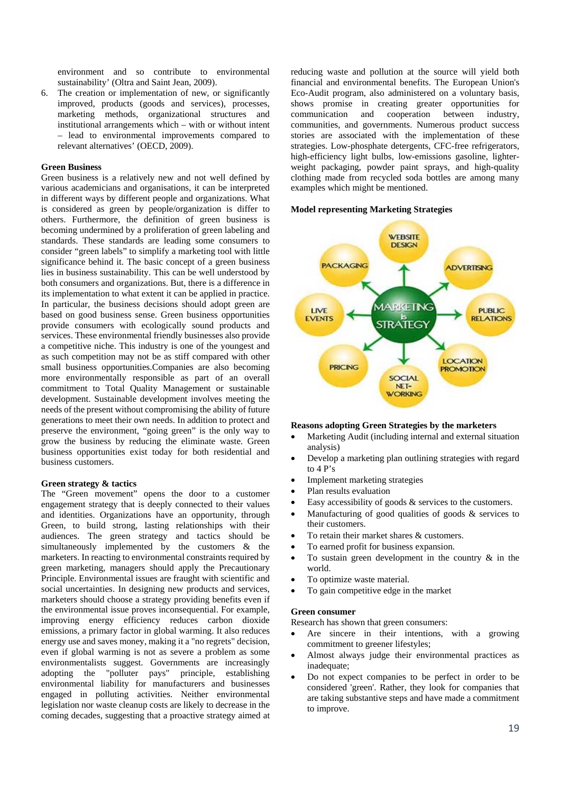environment and so contribute to environmental sustainability' (Oltra and Saint Jean, 2009).

6. The creation or implementation of new, or significantly improved, products (goods and services), processes, marketing methods, organizational structures and institutional arrangements which – with or without intent – lead to environmental improvements compared to relevant alternatives' (OECD, 2009).

# **Green Business**

Green business is a relatively new and not well defined by various academicians and organisations, it can be interpreted in different ways by different people and organizations. What is considered as green by people/organization is differ to others. Furthermore, the definition of green business is becoming undermined by a proliferation of green labeling and standards. These standards are leading some consumers to consider "green labels" to simplify a marketing tool with little significance behind it. The basic concept of a green business lies in business sustainability. This can be well understood by both consumers and organizations. But, there is a difference in its implementation to what extent it can be applied in practice. In particular, the business decisions should adopt green are based on good business sense. Green business opportunities provide consumers with ecologically sound products and services. These environmental friendly businesses also provide a competitive niche. This industry is one of the youngest and as such competition may not be as stiff compared with other small business opportunities.Companies are also becoming more environmentally responsible as part of an overall commitment to Total Quality Management or sustainable development. Sustainable development involves meeting the needs of the present without compromising the ability of future generations to meet their own needs. In addition to protect and preserve the environment, "going green" is the only way to grow the business by reducing the eliminate waste. Green business opportunities exist today for both residential and business customers.

## **Green strategy & tactics**

The "Green movement" opens the door to a customer engagement strategy that is deeply connected to their values and identities. Organizations have an opportunity, through Green, to build strong, lasting relationships with their audiences. The green strategy and tactics should be simultaneously implemented by the customers & the marketers. In reacting to environmental constraints required by green marketing, managers should apply the Precautionary Principle. Environmental issues are fraught with scientific and social uncertainties. In designing new products and services, marketers should choose a strategy providing benefits even if the environmental issue proves inconsequential. For example, improving energy efficiency reduces carbon dioxide emissions, a primary factor in global warming. It also reduces energy use and saves money, making it a "no regrets" decision, even if global warming is not as severe a problem as some environmentalists suggest. Governments are increasingly adopting the "polluter pays" principle, establishing adopting the "polluter pays" principle, establishing environmental liability for manufacturers and businesses engaged in polluting activities. Neither environmental legislation nor waste cleanup costs are likely to decrease in the coming decades, suggesting that a proactive strategy aimed at reducing waste and pollution at the source will yield both financial and environmental benefits. The European Union's Eco-Audit program, also administered on a voluntary basis, shows promise in creating greater opportunities for communication and cooperation between industry, communities, and governments. Numerous product success stories are associated with the implementation of these strategies. Low-phosphate detergents, CFC-free refrigerators, high-efficiency light bulbs, low-emissions gasoline, lighterweight packaging, powder paint sprays, and high-quality clothing made from recycled soda bottles are among many examples which might be mentioned.

### **Model representing Marketing Strategies**



#### **Reasons adopting Green Strategies by the marketers**

- Marketing Audit (including internal and external situation analysis)
- Develop a marketing plan outlining strategies with regard to 4 P's
- Implement marketing strategies
- Plan results evaluation
- Easy accessibility of goods & services to the customers.
- Manufacturing of good qualities of goods & services to their customers.
- To retain their market shares & customers.
- To earned profit for business expansion.
- To sustain green development in the country & in the world.
- To optimize waste material.
- To gain competitive edge in the market

### **Green consumer**

Research has shown that green consumers:

- Are sincere in their intentions, with a growing commitment to greener lifestyles;
- Almost always judge their environmental practices as inadequate;
- Do not expect companies to be perfect in order to be considered 'green'. Rather, they look for companies that are taking substantive steps and have made a commitment to improve.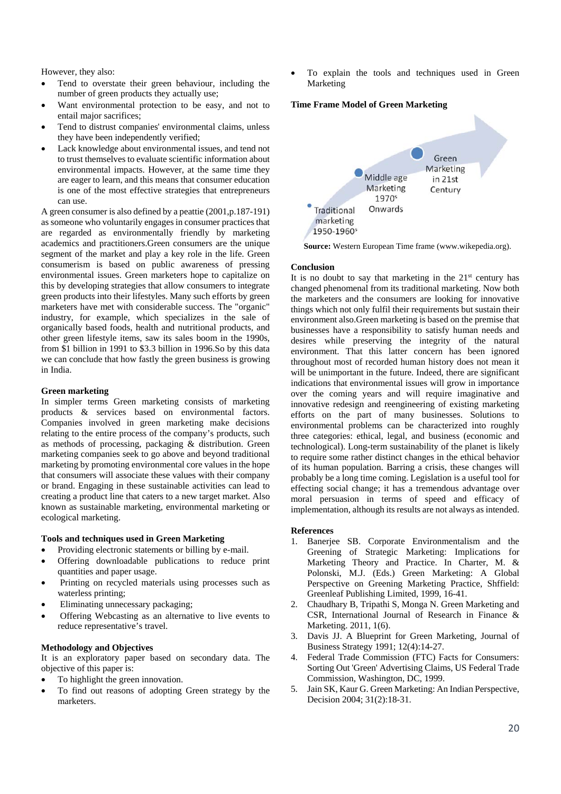However, they also:

- Tend to overstate their green behaviour, including the number of green products they actually use;
- Want environmental protection to be easy, and not to entail major sacrifices;
- Tend to distrust companies' environmental claims, unless they have been independently verified;
- Lack knowledge about environmental issues, and tend not to trust themselves to evaluate scientific information about environmental impacts. However, at the same time they are eager to learn, and this means that consumer education is one of the most effective strategies that entrepreneurs can use.

A green consumer is also defined by a peattie (2001,p.187-191) as someone who voluntarily engages in consumer practices that are regarded as environmentally friendly by marketing academics and practitioners.Green consumers are the unique segment of the market and play a key role in the life. Green consumerism is based on public awareness of pressing environmental issues. Green marketers hope to capitalize on this by developing strategies that allow consumers to integrate green products into their lifestyles. Many such efforts by green marketers have met with considerable success. The "organic" industry, for example, which specializes in the sale of organically based foods, health and nutritional products, and other green lifestyle items, saw its sales boom in the 1990s, from \$1 billion in 1991 to \$3.3 billion in 1996.So by this data we can conclude that how fastly the green business is growing in India.

# **Green marketing**

In simpler terms Green marketing consists of marketing products & services based on environmental factors. Companies involved in green marketing make decisions relating to the entire process of the company's products, such as methods of processing, packaging & distribution. Green marketing companies seek to go above and beyond traditional marketing by promoting environmental core values in the hope that consumers will associate these values with their company or brand. Engaging in these sustainable activities can lead to creating a product line that caters to a new target market. Also known as sustainable marketing, environmental marketing or ecological marketing.

# **Tools and techniques used in Green Marketing**

- Providing electronic statements or billing by e-mail.
- Offering downloadable publications to reduce print quantities and paper usage.
- Printing on recycled materials using processes such as waterless printing;
- Eliminating unnecessary packaging;
- Offering Webcasting as an alternative to live events to reduce representative's travel.

# **Methodology and Objectives**

It is an exploratory paper based on secondary data. The objective of this paper is:

- To highlight the green innovation.
- To find out reasons of adopting Green strategy by the marketers.

 To explain the tools and techniques used in Green Marketing

### **Time Frame Model of Green Marketing**



**Source:** Western European Time frame (www.wikepedia.org).

# **Conclusion**

It is no doubt to say that marketing in the  $21<sup>st</sup>$  century has changed phenomenal from its traditional marketing. Now both the marketers and the consumers are looking for innovative things which not only fulfil their requirements but sustain their environment also.Green marketing is based on the premise that businesses have a responsibility to satisfy human needs and desires while preserving the integrity of the natural environment. That this latter concern has been ignored throughout most of recorded human history does not mean it will be unimportant in the future. Indeed, there are significant indications that environmental issues will grow in importance over the coming years and will require imaginative and innovative redesign and reengineering of existing marketing efforts on the part of many businesses. Solutions to environmental problems can be characterized into roughly three categories: ethical, legal, and business (economic and technological). Long-term sustainability of the planet is likely to require some rather distinct changes in the ethical behavior of its human population. Barring a crisis, these changes will probably be a long time coming. Legislation is a useful tool for effecting social change; it has a tremendous advantage over moral persuasion in terms of speed and efficacy of implementation, although its results are not always as intended.

# **References**

- 1. Banerjee SB. Corporate Environmentalism and the Greening of Strategic Marketing: Implications for Marketing Theory and Practice. In Charter, M. & Polonski, M.J. (Eds.) Green Marketing: A Global Perspective on Greening Marketing Practice, Shffield: Greenleaf Publishing Limited, 1999, 16-41.
- 2. Chaudhary B, Tripathi S, Monga N. Green Marketing and CSR, International Journal of Research in Finance & Marketing. 2011, 1(6).
- 3. Davis JJ. A Blueprint for Green Marketing, Journal of Business Strategy 1991; 12(4):14-27.
- 4. Federal Trade Commission (FTC) Facts for Consumers: Sorting Out 'Green' Advertising Claims, US Federal Trade Commission, Washington, DC, 1999.
- 5. Jain SK, Kaur G. Green Marketing: An Indian Perspective, Decision 2004; 31(2):18-31.